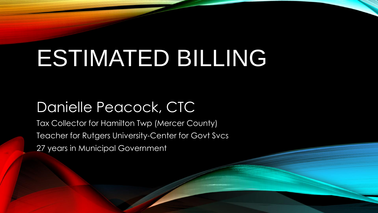# ESTIMATED BILLING

### Danielle Peacock, CTC

Tax Collector for Hamilton Twp (Mercer County) Teacher for Rutgers University-Center for Govt Svcs 27 years in Municipal Government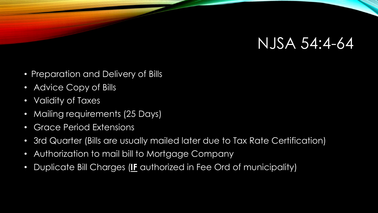### NJSA 54:4-64

- Preparation and Delivery of Bills
- Advice Copy of Bills
- Validity of Taxes
- Mailing requirements (25 Days)
- Grace Period Extensions
- 3rd Quarter (Bills are usually mailed later due to Tax Rate Certification)
- Authorization to mail bill to Mortgage Company
- Duplicate Bill Charges (**IF** authorized in Fee Ord of municipality)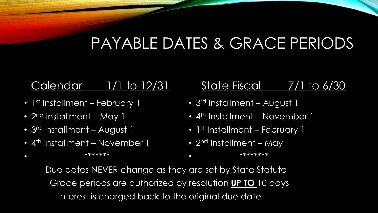## PAYABLE DATES & GRACE PERIODS

### Calendar 1/1 to 12/31

- 1<sup>st</sup> Installment February 1
- 2<sup>nd</sup> Installment May 1

• \*\*\*\*\*\*\*

- 3<sup>rd</sup> Installment August 1
- 4<sup>th</sup> Installment November 1

### State Fiscal 7/1 to 6/30

- 3<sup>rd</sup> Installment August 1
- 4<sup>th</sup> Installment November 1
- 1<sup>st</sup> Installment February 1
- 2<sup>nd</sup> Installment May 1 • \*\*\*\*\*\*\*\*\*\*

Due dates NEVER change as they are set by State Statute Grace periods are authorized by resolution **UP TO** 10 days Interest is charged back to the original due date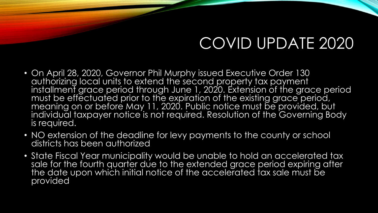## COVID UPDATE 2020

- On April 28, 2020, Governor Phil Murphy issued Executive Order 130 authorizing local units to extend the second property tax payment installment grace period through June 1, 2020. Extension of the grace period must be effectuated prior to the expiration of the existing grace period, meaning on or before May 11, 2020. Public notice must be provided, but individual taxpayer notice is not required. Resolution of the Governing Body is required.
- NO extension of the deadline for levy payments to the county or school districts has been authorized
- State Fiscal Year municipality would be unable to hold an accelerated tax sale for the fourth quarter due to the extended grace period expiring after the date upon which initial notice of the accelerated tax sale must be provided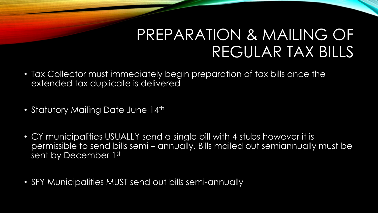## PREPARATION & MAILING OF REGULAR TAX BILLS

- Tax Collector must immediately begin preparation of tax bills once the extended tax duplicate is delivered
- Statutory Mailing Date June 14th
- CY municipalities USUALLY send a single bill with 4 stubs however it is permissible to send bills semi – annually. Bills mailed out semiannually must be sent by December 1st
- SFY Municipalities MUST send out bills semi-annually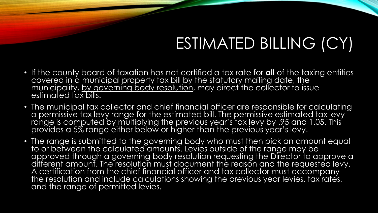## ESTIMATED BILLING (CY)

- If the county board of taxation has not certified a tax rate for **all** of the taxing entities covered in a municipal property tax bill by the statutory mailing date, the municipality, <u>by governing body resolution,</u> may direct the collector to issue estimated tax bills.
- The municipal tax collector and chief financial officer are responsible for calculating a permissive tax levy range for the estimated bill. The permissive estimated tax levy range is computed by multiplying the previous year's tax levy by .95 and 1.05. This provides a 5% range either below or higher than the previous year's levy.
- The range is submitted to the governing body who must then pick an amount equal to or between the calculated amounts. Levies outside of the range may be approved through a governing body resolution requesting the Director to approve a different amount. The resolution must document the reason and the requested levy. A certification from the chief financial officer and tax collector must accompany the resolution and include calculations showing the previous year levies, tax rates, and the range of permitted levies.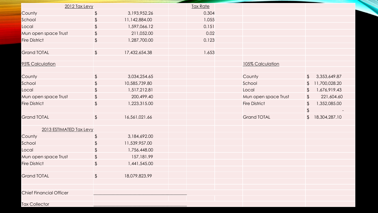| 2012 Tax Levy                  |               |               | <b>Tax Rate</b> |                      |                |               |
|--------------------------------|---------------|---------------|-----------------|----------------------|----------------|---------------|
| County                         | $\frac{1}{2}$ | 3,193,952.26  | 0.304           |                      |                |               |
| School                         | \$            | 11,142,884.00 | 1.055           |                      |                |               |
| Local                          | \$            | 1,597,066.12  | 0.151           |                      |                |               |
| Mun open space Trust           | \$            | 211,052.00    | 0.02            |                      |                |               |
| <b>Fire District</b>           | $\frac{1}{2}$ | 1,287,700.00  | 0.123           |                      |                |               |
| <b>Grand TOTAL</b>             | $\frac{1}{2}$ | 17,432,654.38 | 1.653           |                      |                |               |
| 95% Calculation                |               |               |                 | 105% Calculation     |                |               |
| County                         | $\frac{1}{2}$ | 3,034,254.65  |                 | County               | $\frac{1}{2}$  | 3,353,649.87  |
| School                         | $\frac{1}{2}$ | 10,585,739.80 |                 | School               | $\frac{1}{2}$  | 11,700,028.20 |
| Local                          | \$            | 1,517,212.81  |                 | Local                | \$             | 1,676,919.43  |
| Mun open space Trust           | \$            | 200,499.40    |                 | Mun open space Trust | $\mathfrak{L}$ | 221,604.60    |
| <b>Fire District</b>           | $\frac{1}{2}$ | 1,223,315.00  |                 | <b>Fire District</b> | $\mathfrak{L}$ | 1,352,085.00  |
|                                |               |               |                 |                      | $\frac{1}{2}$  |               |
| <b>Grand TOTAL</b>             | $\sqrt$       | 16,561,021.66 |                 | <b>Grand TOTAL</b>   | $\mathfrak{L}$ | 18,304,287.10 |
| 2013 ESTIMATED Tax Levy        |               |               |                 |                      |                |               |
| County                         | $\frac{1}{2}$ | 3,184,692.00  |                 |                      |                |               |
| School                         | \$            | 11,539,957.00 |                 |                      |                |               |
| Local                          | \$            | 1,756,448.00  |                 |                      |                |               |
| Mun open space Trust           | \$            | 157,181.99    |                 |                      |                |               |
| <b>Fire District</b>           | $\frac{1}{2}$ | 1,441,545.00  |                 |                      |                |               |
| <b>Grand TOTAL</b>             | $\frac{1}{2}$ | 18,079,823.99 |                 |                      |                |               |
| <b>Chief Financial Officer</b> |               |               |                 |                      |                |               |
| <b>Tax Collector</b>           |               |               |                 |                      |                |               |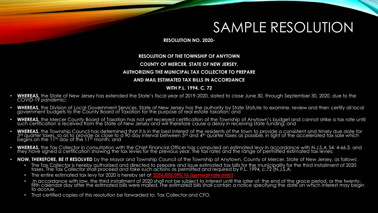### SAMPLE RESOLUTION

**RESOLUTION NO. 2020-**

### **RESOLUTION OF THE TOWNSHIP OF ANYTOWN**

### **COUNTY OF MERCER, STATE OF NEW JERSEY,**

### **AUTHORIZING THE MUNICIPAL TAX COLLECTOR TO PREPARE**

### **AND MAIL ESTIMATED TAX BILLS IN ACCORDANCE**

### **WITH P.L. 1994, C. 72**

- **WHEREAS,** the State of New Jersey has extended the State's fiscal year of 2019-2020, slated to close June 30, through September 30, 2020, due to the COVID-19 pandemic;
- **WHEREAS,** the Division of Local Government Services, State of New Jersey has the authority by State Statute to examine, review and then certify all local government budgets to the County Board of Taxation for the purpose of real estate taxation; and
- **WHEREAS,** the Mercer County Board of Taxation has not yet received certification of the Township of Anytown's budget and cannot strike a tax rate until such certification is received from the State of New Jersey and will therefore cause a delay in receiving state funding; and
- **WHEREAS,** the Township Council has determined that it is in the best interest of the residents of the town to provide a consistent and timely due date for 3rd quarter taxes, so as to provide as close to a 90 day interval between 3rd and 4th quarter taxes as possible, in light of the accelerated tax sale which begins on the  $11<sup>th</sup>$  day of the  $11<sup>th</sup>$  month; and
- **WHEREAS,** the Tax Collector in consultation with the Chief Financial Officer has computed an estimated levy in accordance with N.J.S.A 54: 4-66.3, and they have signed a certification showing the tax levies for the previous year, the tax rates and the range of permitted estimated tax levies;
- **NOW, THEREFORE, BE IT RESOLVED** by the Mayor and Township Council of the Township of Anytown, County of Mercer, State of New Jersey, as follows:
	- The Tax Collector is hereby authorized and directed to prepare and issue estimated tax bills for the municipality for the third installment of 2020 taxes. The Tax Collector shall proceed and take such actions as permitted and required by P.L. 1994, c.72 (N.J.S.A.
	- The entire estimated tax levy for 2020 is hereby set at **\$256,855,095.16 (general rate only)**
	- In accordance with law, the third installment of 2020 shall not be subject to interest until the later of; the end of the grace period, or the twentyfifth calendar day after the estimated bills were mailed. The estimated bills shall contain a notice specifying the date on which interest may begin to accrue.
	- That certified copies of this resolution be forwarded to: Tax Collector and CFO.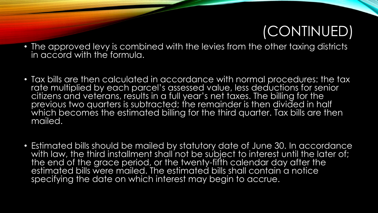### (CONTINUED)

- The approved levy is combined with the levies from the other taxing districts in accord with the formula.
- Tax bills are then calculated in accordance with normal procedures: the tax rate multiplied by each parcel's assessed value, less deductions for senior citizens and veterans, results in a full year's net taxes. The billing for the previous two quarters is subtracted; the remainder is then divided in half which becomes the estimated billing for the third quarter. Tax bills are then mailed.
- Estimated bills should be mailed by statutory date of June 30. In accordance with law, the third installment shall not be subject to interest until the later of; the end of the grace period, or the twenty-fifth calendar day after the estimated bills were mailed. The estimated bills shall contain a notice specifying the date on which interest may begin to accrue.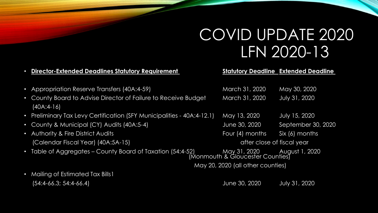## COVID UPDATE 2020 LFN 2020-13

### • **Director-Extended Deadlines Statutory Requirement Statutory Deadline Extended Deadline**

- Appropriation Reserve Transfers (40A:4-59)
- County Board to Advise Director of Failure to Receive Budget (40A:4-16)
- Preliminary Tax Levy Certification (SFY Municipalities 40A:4-12.1) May 13, 2020 July 15, 2020
- County & Municipal (CY) Audits (40A:5-4) June 30, 2020 September 30, 2020
- Authority & Fire District Audits **Four (4) months** Six (6) months Six (6) months (Calendar Fiscal Year) (40A:5A-15) and the same of the close of fiscal year
- Table of Aggregates County Board of Taxation (54:4-52)

| March 31, 2020 | May 30, 2020         |
|----------------|----------------------|
| March 31, 2020 | <b>July 31, 2020</b> |

 (Monmouth & Gloucester Counties) May 20, 2020 (all other counties)

• Mailing of Estimated Tax Bills 1

(54:4-66.3; 54:4-66.4) June 30, 2020 July 31, 2020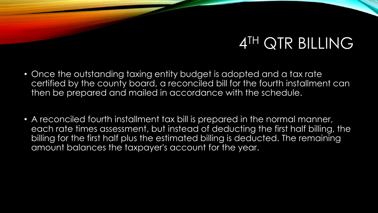## 4 TH QTR BILLING

- Once the outstanding taxing entity budget is adopted and a tax rate certified by the county board, a reconciled bill for the fourth installment can then be prepared and mailed in accordance with the schedule.
- A reconciled fourth installment tax bill is prepared in the normal manner, each rate times assessment, but instead of deducting the first half billing, the billing for the first half plus the estimated billing is deducted. The remaining amount balances the taxpayer's account for the year.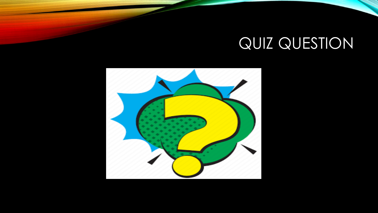## QUIZ QUESTION

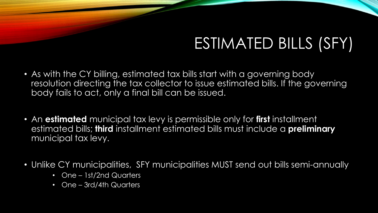## ESTIMATED BILLS (SFY)

- As with the CY billing, estimated tax bills start with a governing body resolution directing the tax collector to issue estimated bills. If the governing body fails to act, only a final bill can be issued.
- An **estimated** municipal tax levy is permissible only for **first** installment estimated bills; **third** installment estimated bills must include a **preliminary**  municipal tax levy.
- Unlike CY municipalities, SFY municipalities MUST send out bills semi-annually
	- One 1st/2nd Quarters
	- One 3rd/4th Quarters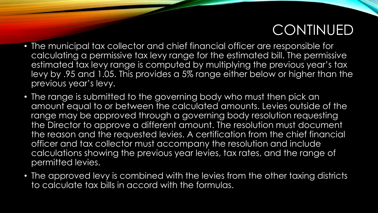### CONTINUED

- The municipal tax collector and chief financial officer are responsible for calculating a permissive tax levy range for the estimated bill. The permissive estimated tax levy range is computed by multiplying the previous year's tax levy by .95 and 1.05. This provides a 5% range either below or higher than the previous year's levy.
- The range is submitted to the governing body who must then pick an amount equal to or between the calculated amounts. Levies outside of the range may be approved through a governing body resolution requesting the Director to approve a different amount. The resolution must document the reason and the requested levies. A certification from the chief financial officer and tax collector must accompany the resolution and include calculations showing the previous year levies, tax rates, and the range of permitted levies.
- The approved levy is combined with the levies from the other taxing districts to calculate tax bills in accord with the formulas.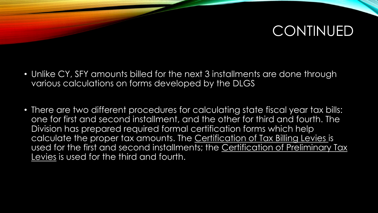### CONTINUED

- Unlike CY, SFY amounts billed for the next 3 installments are done through various calculations on forms developed by the DLGS
- There are two different procedures for calculating state fiscal year tax bills: one for first and second installment, and the other for third and fourth. The Division has prepared required formal certification forms which help calculate the proper tax amounts. The Certification of Tax Billing Levies is used for the first and second installments; the Certification of Preliminary Tax Levies is used for the third and fourth.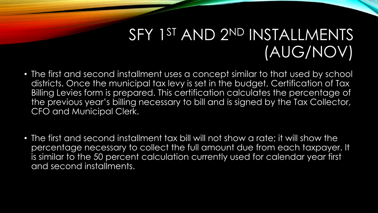## SFY 1<sup>ST</sup> AND 2<sup>ND</sup> INSTALLMENTS (AUG/NOV)

- The first and second installment uses a concept similar to that used by school districts. Once the municipal tax levy is set in the budget, Certification of Tax Billing Levies form is prepared. This certification calculates the percentage of the previous year's billing necessary to bill and is signed by the Tax Collector, CFO and Municipal Clerk.
- The first and second installment tax bill will not show a rate; it will show the percentage necessary to collect the full amount due from each taxpayer. It is similar to the 50 percent calculation currently used for calendar year first and second installments.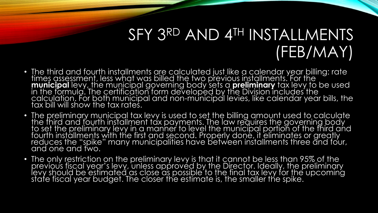## SFY 3RD AND 4TH INSTALLMENTS (FEB/MAY)

- The third and fourth installments are calculated just like a calendar year billing: rate times assessment, less what was billed the two previous installments. For the **municipal** levy, the municipal governing body sets a **preliminary** tax levy to be used in the formula. The certification form developed by the Division includes the calculation. For both municipal and non-municipal levies, like calendar year bills, the tax bill will show the tax rates.
- The preliminary municipal tax levy is used to set the billing amount used to calculate the third and fourth installment tax payments. The law requires the governing body to set the preliminary levy in a manner to level the municipal portion of the third and fourth installments with the first and second. Properly done, it eliminates or greatly reduces the "spike" many municipalities have between installments three and four, and one and two.
- The only restriction on the preliminary levy is that it cannot be less than 95% of the previous fiscal year's levy, unless approved by the Director. Ideally, the preliminary levy should be estimated as close as possible to the final tax levy for the upcoming state fiscal year budget. The closer the estimate is, the smaller the spike.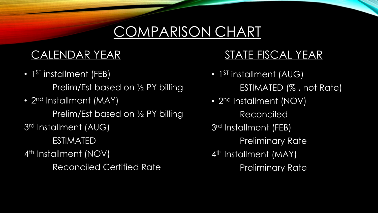### COMPARISON CHART

### CALENDAR YEAR

• 1<sup>ST</sup> installment (FEB)

Prelim/Est based on 1/2 PY billing

• 2<sup>nd</sup> Installment (MAY)

Prelim/Est based on 1/2 PY billing

3 rd Installment (AUG)

ESTIMATED

4<sup>th</sup> Installment (NOV)

Reconciled Certified Rate

### STATE FISCAL YEAR

- 1<sup>ST</sup> installment (AUG) ESTIMATED (% , not Rate)
- 2<sup>nd</sup> Installment (NOV) Reconciled 3<sup>rd</sup> Installment (FEB) **Preliminary Rate** 4<sup>th</sup> Installment (MAY) Preliminary Rate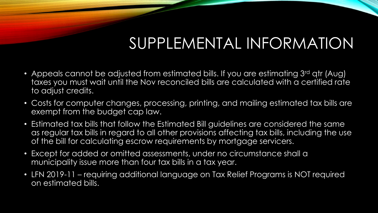## SUPPLEMENTAL INFORMATION

- Appeals cannot be adjusted from estimated bills. If you are estimating 3rd qtr (Aug) taxes you must wait until the Nov reconciled bills are calculated with a certified rate to adjust credits.
- Costs for computer changes, processing, printing, and mailing estimated tax bills are exempt from the budget cap law.
- Estimated tax bills that follow the Estimated Bill guidelines are considered the same as regular tax bills in regard to all other provisions affecting tax bills, including the use of the bill for calculating escrow requirements by mortgage servicers.
- Except for added or omitted assessments, under no circumstance shall a municipality issue more than four tax bills in a tax year.
- LFN 2019-11 requiring additional language on Tax Relief Programs is NOT required on estimated bills.